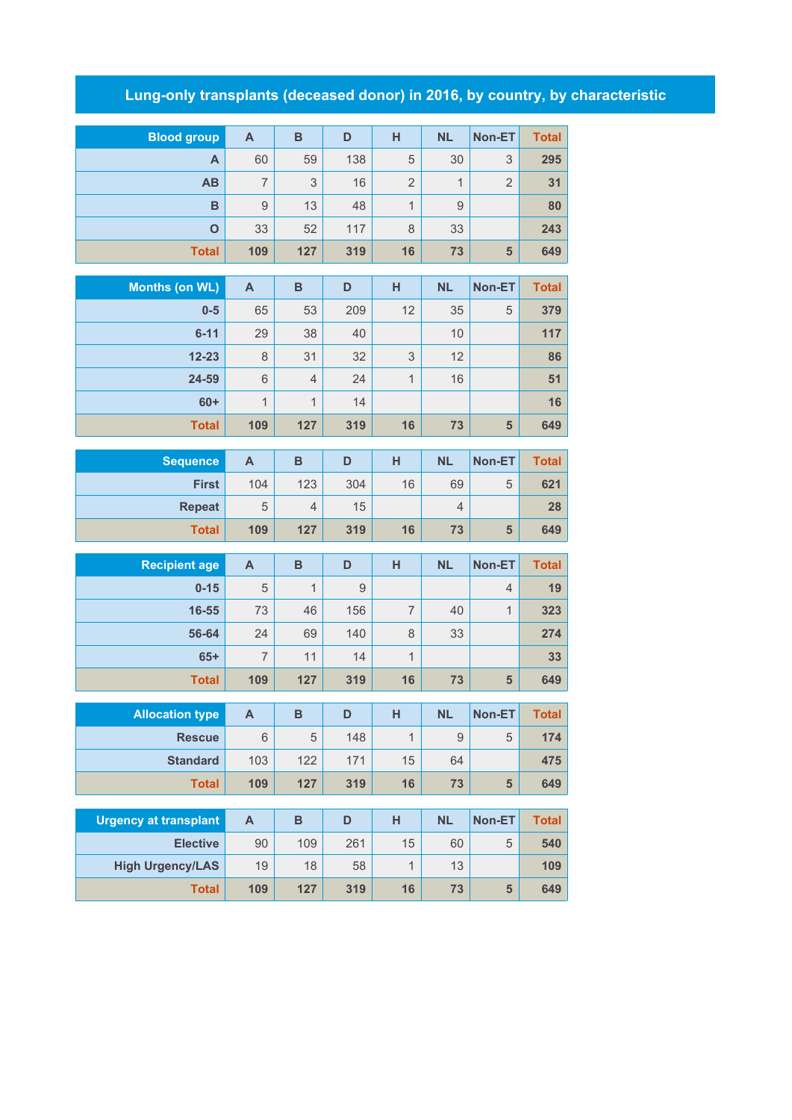## **Lung-only transplants (deceased donor) in 2016, by country, by characteristic**

| <b>Blood</b> group | A   | B   | D   | н              | <b>NL</b>                | Non-ET         | <b>Total</b> |
|--------------------|-----|-----|-----|----------------|--------------------------|----------------|--------------|
| A                  | 60  | 59  | 138 | 5              | 30                       | 3              | 295          |
| <b>AB</b>          | 7   | 3   | 16  | $\overline{2}$ | $\overline{\mathcal{A}}$ | $\overline{2}$ | 31           |
| B                  | 9   | 13  | 48  | 1              | 9                        |                | 80           |
| $\mathbf O$        | 33  | 52  | 117 | 8              | 33                       |                | 243          |
| <b>Total</b>       | 109 | 127 | 319 | 16             | 73                       | 5              | 649          |

| Months (on WL) | A              | B              | D   | Н  | <b>NL</b> | Non-ET | <b>Total</b> |
|----------------|----------------|----------------|-----|----|-----------|--------|--------------|
| $0-5$          | 65             | 53             | 209 | 12 | 35        | 5      | 379          |
| $6 - 11$       | 29             | 38             | 40  |    | 10        |        | 117          |
| $12 - 23$      | 8              | 31             | 32  | 3  | 12        |        | 86           |
| 24-59          | 6              | $\overline{4}$ | 24  | 1  | 16        |        | 51           |
| $60+$          | $\overline{1}$ | 1              | 14  |    |           |        | 16           |
| <b>Total</b>   | 109            | 127            | 319 | 16 | 73        | 5      | 649          |

| Sequence      | Α   | в   | D   | н  | <b>NL</b> | <b>Non-ET</b> | <b>Total</b> |
|---------------|-----|-----|-----|----|-----------|---------------|--------------|
| <b>First</b>  | 104 | 123 | 304 | 16 | 69        | 5             | 621          |
| <b>Repeat</b> | 5   | 4   | 15  |    | 4         |               | 28           |
| <b>Total</b>  | 109 | 127 | 319 | 16 | 73        | 5             | 649          |

| <b>Recipient age</b> | A   | B   | D   | н  | <b>NL</b> | Non-ET         | Total |
|----------------------|-----|-----|-----|----|-----------|----------------|-------|
| $0 - 15$             | 5   | 1   | 9   |    |           | $\overline{4}$ | 19    |
| 16-55                | 73  | 46  | 156 |    | 40        |                | 323   |
| 56-64                | 24  | 69  | 140 | 8  | 33        |                | 274   |
| $65+$                | 7   | 11  | 14  | 4  |           |                | 33    |
| <b>Total</b>         | 109 | 127 | 319 | 16 | 73        | 5              | 649   |

| <b>Allocation type</b> | Α   | в   | D   | н  | <b>NL</b> | Non-ET | <b>Total</b> |
|------------------------|-----|-----|-----|----|-----------|--------|--------------|
| <b>Rescue</b>          | 6   | 5   | 148 |    | 9         | 5      | 174          |
| <b>Standard</b>        | 103 | 122 | 171 | 15 | 64        |        | 475          |
| <b>Total</b>           | 109 | 127 | 319 | 16 | 73        | 5      | 649          |

| Urgency at transplant   | А   | в   | D   |    | <b>NL</b> | Non-ET | <b>Total</b> |
|-------------------------|-----|-----|-----|----|-----------|--------|--------------|
| <b>Elective</b>         | 90  | 109 | 261 | 15 | 60        | 5      | 540          |
| <b>High Urgency/LAS</b> | 19  | 18  | 58  |    | 13        |        | 109          |
| <b>Total</b>            | 109 | 127 | 319 | 16 | 73        | 5      | 649          |